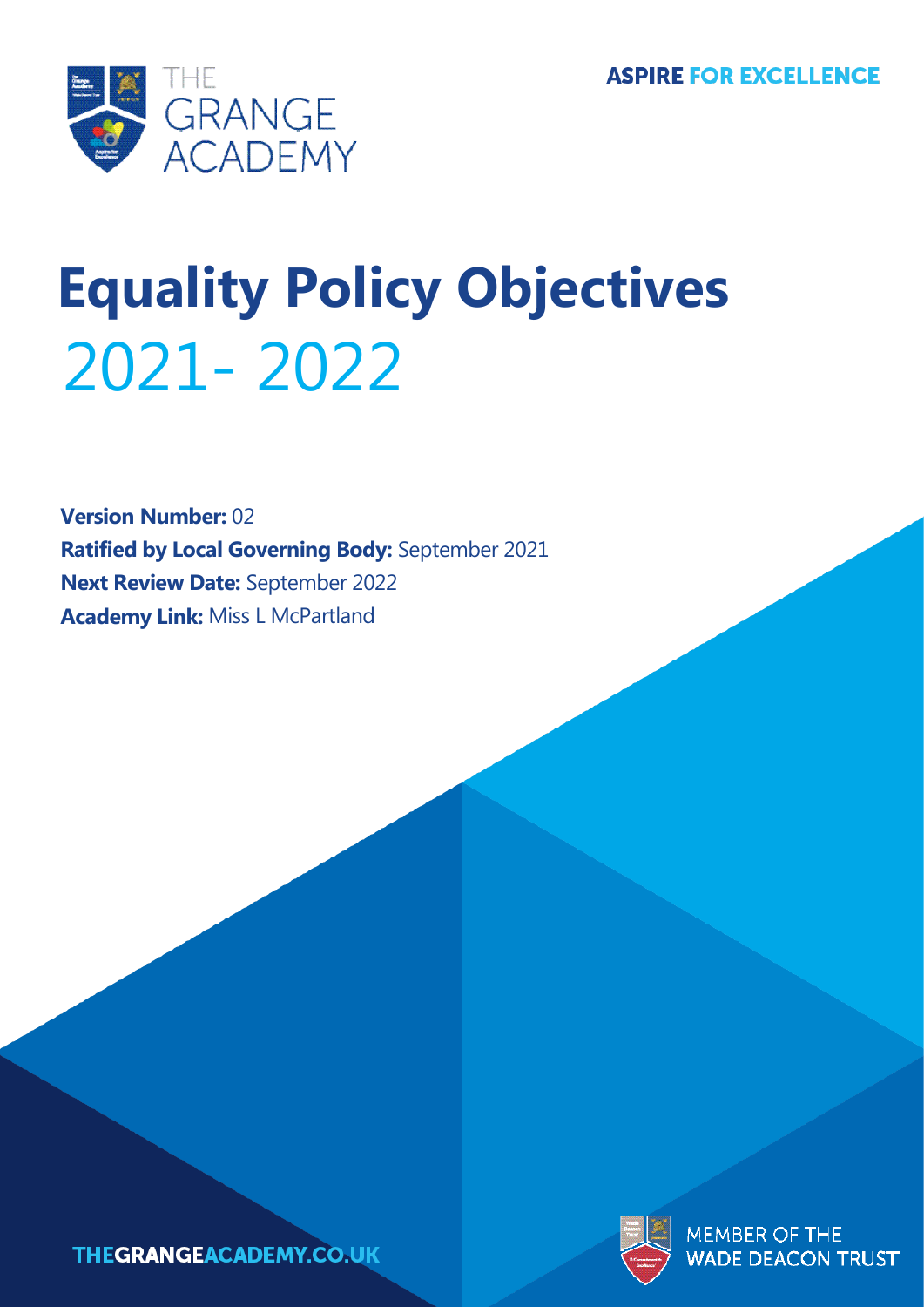

# **Equality Policy Objectives** 2021- 2022

**Version Number:** 02 **Ratified by Local Governing Body:** September 2021 **Next Review Date:** September 2022 **Academy Link:** Miss L McPartland



MEMBER OF THE **DEACON TRUST** 

**THEGRANGEACADEMY.CO.UK**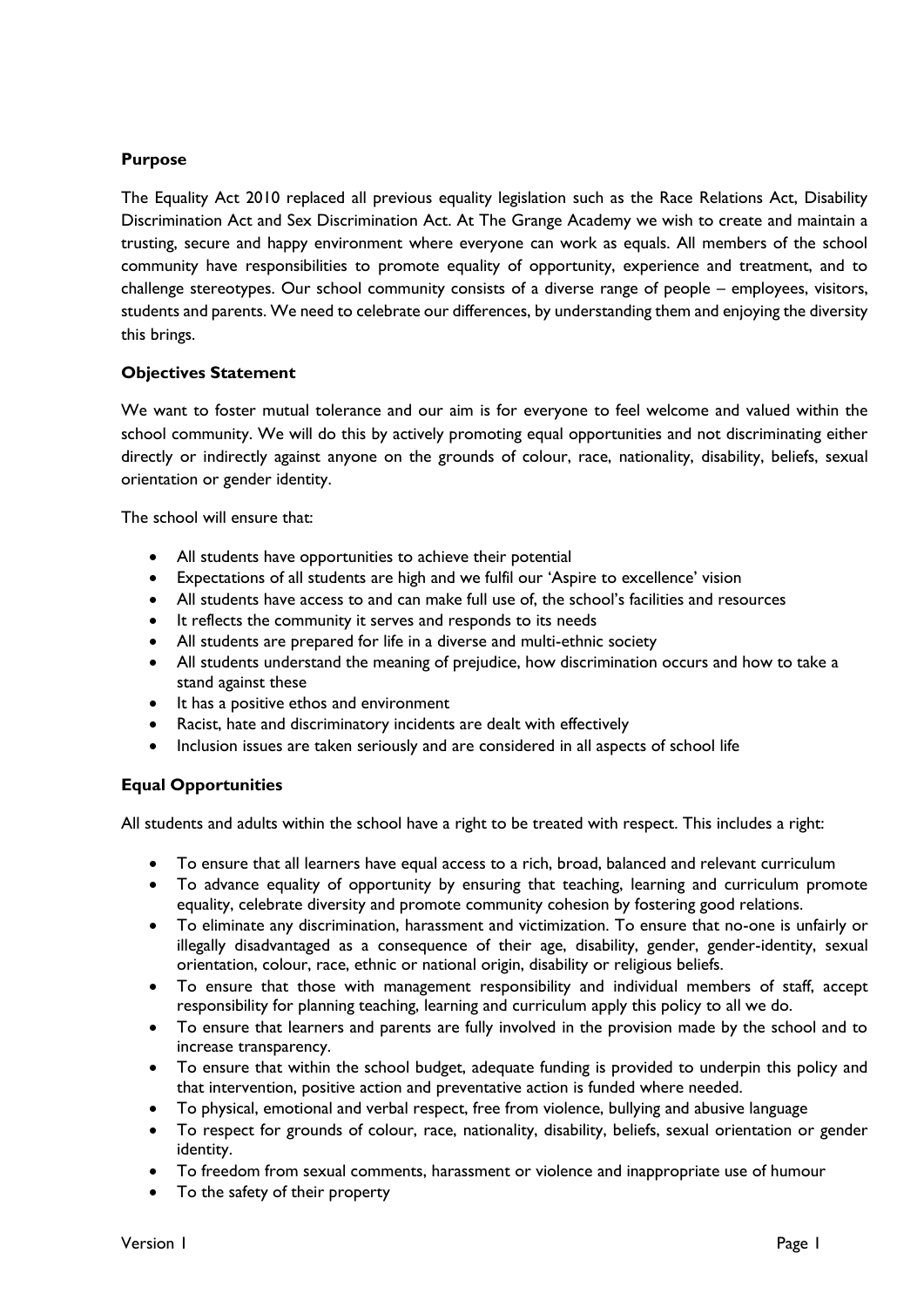# **Purpose**

The Equality Act 2010 replaced all previous equality legislation such as the Race Relations Act, Disability Discrimination Act and Sex Discrimination Act. At The Grange Academy we wish to create and maintain a trusting, secure and happy environment where everyone can work as equals. All members of the school community have responsibilities to promote equality of opportunity, experience and treatment, and to challenge stereotypes. Our school community consists of a diverse range of people – employees, visitors, students and parents. We need to celebrate our differences, by understanding them and enjoying the diversity this brings.

# **Objectives Statement**

We want to foster mutual tolerance and our aim is for everyone to feel welcome and valued within the school community. We will do this by actively promoting equal opportunities and not discriminating either directly or indirectly against anyone on the grounds of colour, race, nationality, disability, beliefs, sexual orientation or gender identity.

The school will ensure that:

- All students have opportunities to achieve their potential
- Expectations of all students are high and we fulfil our 'Aspire to excellence' vision
- All students have access to and can make full use of, the school's facilities and resources
- It reflects the community it serves and responds to its needs
- All students are prepared for life in a diverse and multi-ethnic society
- All students understand the meaning of prejudice, how discrimination occurs and how to take a stand against these
- It has a positive ethos and environment
- Racist, hate and discriminatory incidents are dealt with effectively
- Inclusion issues are taken seriously and are considered in all aspects of school life

# **Equal Opportunities**

All students and adults within the school have a right to be treated with respect. This includes a right:

- To ensure that all learners have equal access to a rich, broad, balanced and relevant curriculum
- To advance equality of opportunity by ensuring that teaching, learning and curriculum promote equality, celebrate diversity and promote community cohesion by fostering good relations.
- To eliminate any discrimination, harassment and victimization. To ensure that no-one is unfairly or illegally disadvantaged as a consequence of their age, disability, gender, gender-identity, sexual orientation, colour, race, ethnic or national origin, disability or religious beliefs.
- To ensure that those with management responsibility and individual members of staff, accept responsibility for planning teaching, learning and curriculum apply this policy to all we do.
- To ensure that learners and parents are fully involved in the provision made by the school and to increase transparency.
- To ensure that within the school budget, adequate funding is provided to underpin this policy and that intervention, positive action and preventative action is funded where needed.
- To physical, emotional and verbal respect, free from violence, bullying and abusive language
- To respect for grounds of colour, race, nationality, disability, beliefs, sexual orientation or gender identity.
- To freedom from sexual comments, harassment or violence and inappropriate use of humour
- To the safety of their property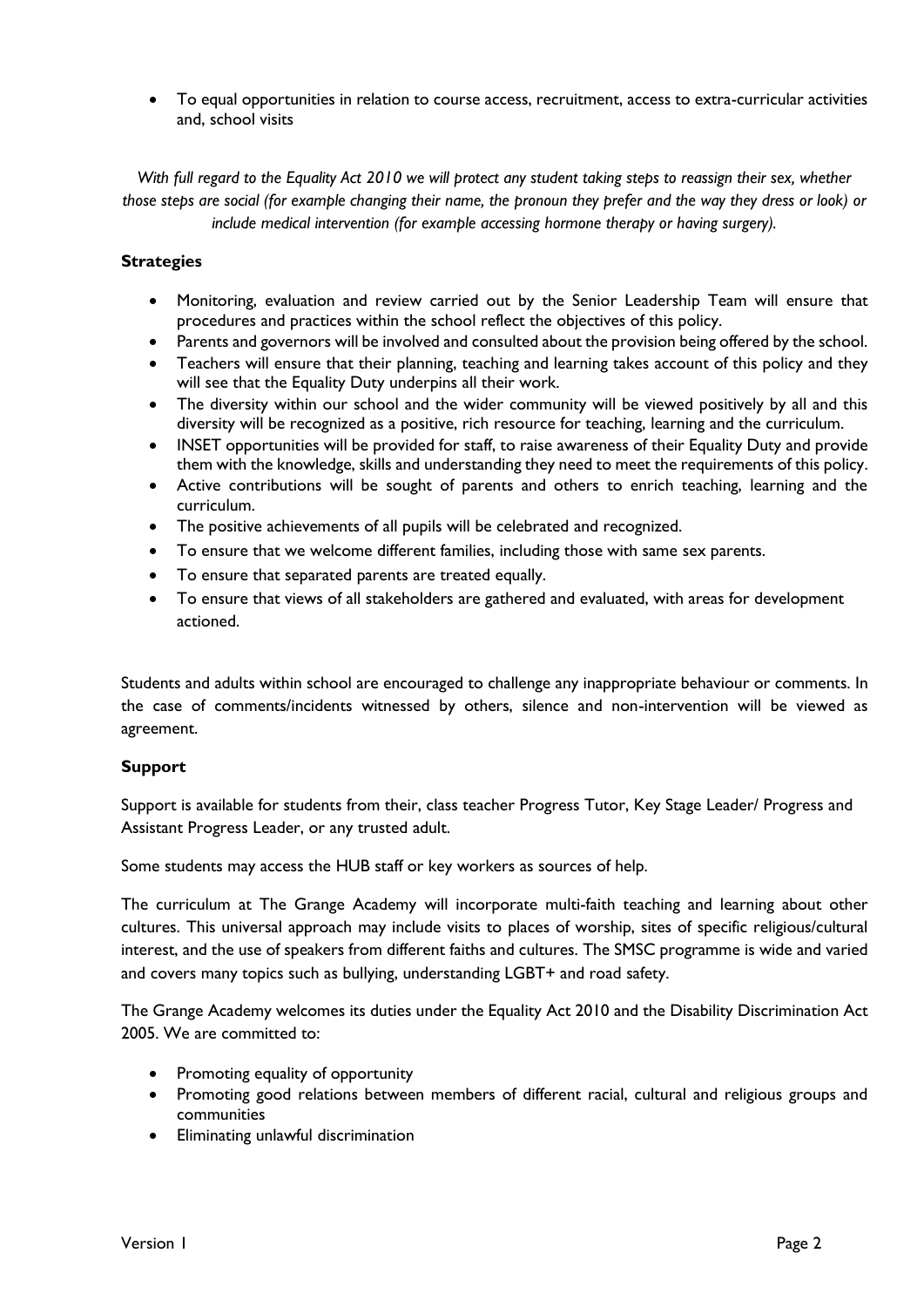• To equal opportunities in relation to course access, recruitment, access to extra-curricular activities and, school visits

*With full regard to the Equality Act 2010 we will protect any student taking steps to reassign their sex, whether those steps are social (for example changing their name, the pronoun they prefer and the way they dress or look) or include medical intervention (for example accessing hormone therapy or having surgery).*

# **Strategies**

- Monitoring, evaluation and review carried out by the Senior Leadership Team will ensure that procedures and practices within the school reflect the objectives of this policy.
- Parents and governors will be involved and consulted about the provision being offered by the school.
- Teachers will ensure that their planning, teaching and learning takes account of this policy and they will see that the Equality Duty underpins all their work.
- The diversity within our school and the wider community will be viewed positively by all and this diversity will be recognized as a positive, rich resource for teaching, learning and the curriculum.
- INSET opportunities will be provided for staff, to raise awareness of their Equality Duty and provide them with the knowledge, skills and understanding they need to meet the requirements of this policy.
- Active contributions will be sought of parents and others to enrich teaching, learning and the curriculum.
- The positive achievements of all pupils will be celebrated and recognized.
- To ensure that we welcome different families, including those with same sex parents.
- To ensure that separated parents are treated equally.
- To ensure that views of all stakeholders are gathered and evaluated, with areas for development actioned.

Students and adults within school are encouraged to challenge any inappropriate behaviour or comments. In the case of comments/incidents witnessed by others, silence and non-intervention will be viewed as agreement.

#### **Support**

Support is available for students from their, class teacher Progress Tutor, Key Stage Leader/ Progress and Assistant Progress Leader, or any trusted adult.

Some students may access the HUB staff or key workers as sources of help.

The curriculum at The Grange Academy will incorporate multi-faith teaching and learning about other cultures. This universal approach may include visits to places of worship, sites of specific religious/cultural interest, and the use of speakers from different faiths and cultures. The SMSC programme is wide and varied and covers many topics such as bullying, understanding LGBT+ and road safety.

The Grange Academy welcomes its duties under the Equality Act 2010 and the Disability Discrimination Act 2005. We are committed to:

- Promoting equality of opportunity
- Promoting good relations between members of different racial, cultural and religious groups and communities
- Eliminating unlawful discrimination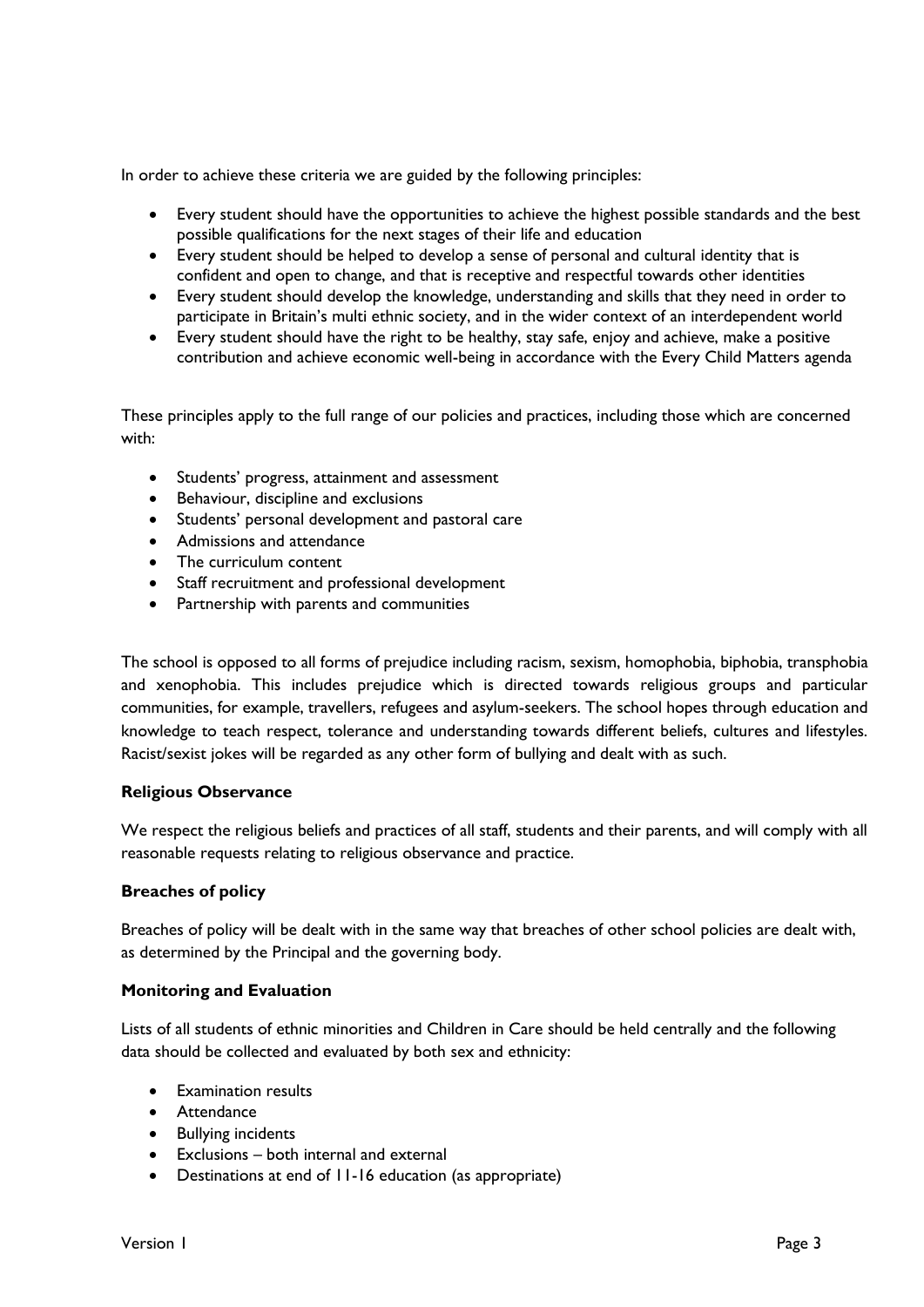In order to achieve these criteria we are guided by the following principles:

- Every student should have the opportunities to achieve the highest possible standards and the best possible qualifications for the next stages of their life and education
- Every student should be helped to develop a sense of personal and cultural identity that is confident and open to change, and that is receptive and respectful towards other identities
- Every student should develop the knowledge, understanding and skills that they need in order to participate in Britain's multi ethnic society, and in the wider context of an interdependent world
- Every student should have the right to be healthy, stay safe, enjoy and achieve, make a positive contribution and achieve economic well-being in accordance with the Every Child Matters agenda

These principles apply to the full range of our policies and practices, including those which are concerned with:

- Students' progress, attainment and assessment
- Behaviour, discipline and exclusions
- Students' personal development and pastoral care
- Admissions and attendance
- The curriculum content
- Staff recruitment and professional development
- Partnership with parents and communities

The school is opposed to all forms of prejudice including racism, sexism, homophobia, biphobia, transphobia and xenophobia. This includes prejudice which is directed towards religious groups and particular communities, for example, travellers, refugees and asylum-seekers. The school hopes through education and knowledge to teach respect, tolerance and understanding towards different beliefs, cultures and lifestyles. Racist/sexist jokes will be regarded as any other form of bullying and dealt with as such.

#### **Religious Observance**

We respect the religious beliefs and practices of all staff, students and their parents, and will comply with all reasonable requests relating to religious observance and practice.

#### **Breaches of policy**

Breaches of policy will be dealt with in the same way that breaches of other school policies are dealt with, as determined by the Principal and the governing body.

#### **Monitoring and Evaluation**

Lists of all students of ethnic minorities and Children in Care should be held centrally and the following data should be collected and evaluated by both sex and ethnicity:

- Examination results
- Attendance
- Bullying incidents
- Exclusions both internal and external
- Destinations at end of 11-16 education (as appropriate)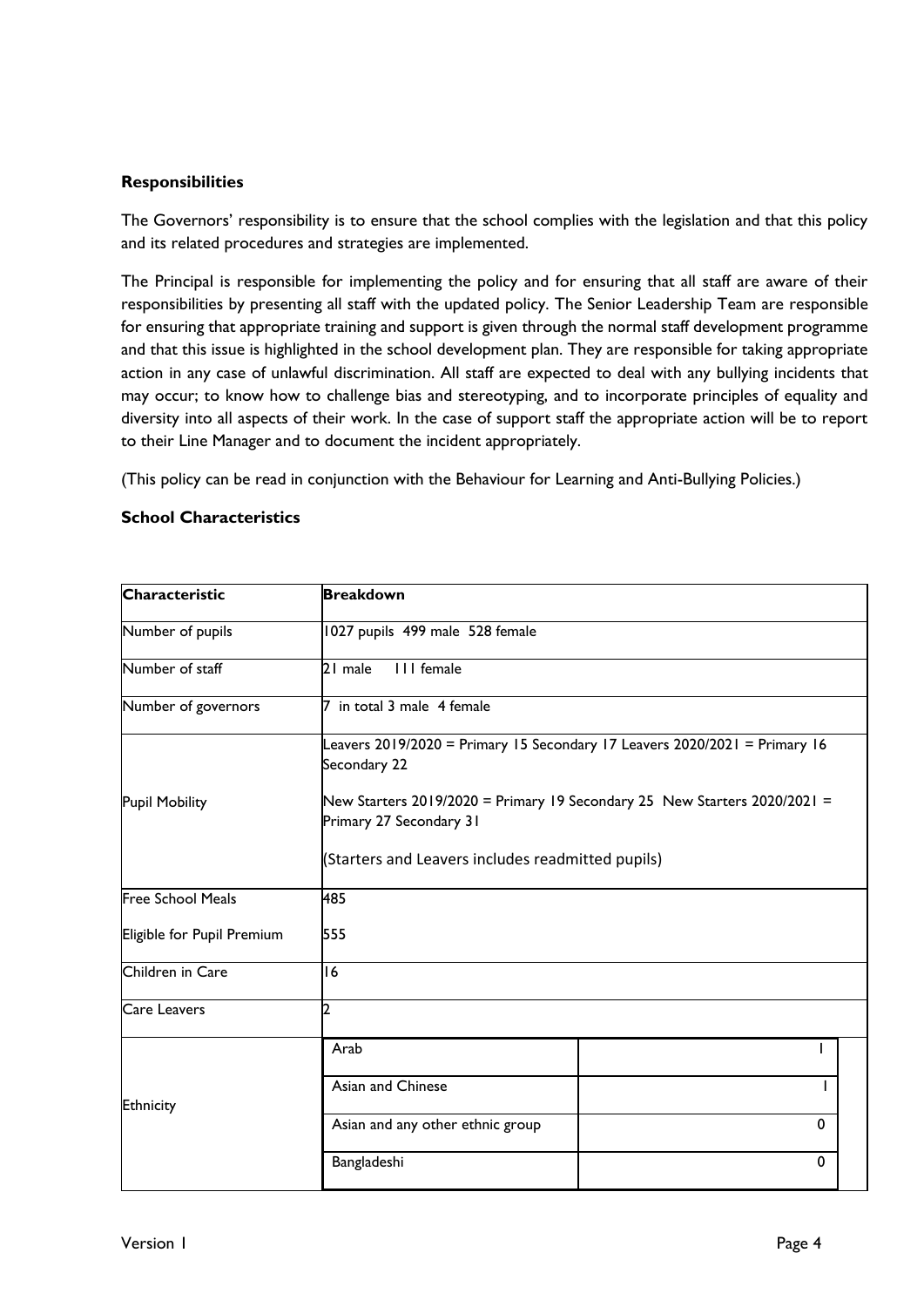### **Responsibilities**

The Governors' responsibility is to ensure that the school complies with the legislation and that this policy and its related procedures and strategies are implemented.

The Principal is responsible for implementing the policy and for ensuring that all staff are aware of their responsibilities by presenting all staff with the updated policy. The Senior Leadership Team are responsible for ensuring that appropriate training and support is given through the normal staff development programme and that this issue is highlighted in the school development plan. They are responsible for taking appropriate action in any case of unlawful discrimination. All staff are expected to deal with any bullying incidents that may occur; to know how to challenge bias and stereotyping, and to incorporate principles of equality and diversity into all aspects of their work. In the case of support staff the appropriate action will be to report to their Line Manager and to document the incident appropriately.

(This policy can be read in conjunction with the Behaviour for Learning and Anti-Bullying Policies.)

#### **School Characteristics**

| Characteristic             | <b>Breakdown</b>                                                                                                                                                                                   |             |  |  |
|----------------------------|----------------------------------------------------------------------------------------------------------------------------------------------------------------------------------------------------|-------------|--|--|
| Number of pupils           | 1027 pupils 499 male 528 female                                                                                                                                                                    |             |  |  |
| Number of staff            | III female<br>21 male                                                                                                                                                                              |             |  |  |
| Number of governors        | in total 3 male 4 female                                                                                                                                                                           |             |  |  |
|                            | Leavers 2019/2020 = Primary 15 Secondary 17 Leavers 2020/2021 = Primary 16<br>Secondary 22<br>New Starters 2019/2020 = Primary 19 Secondary 25 New Starters 2020/2021 =<br>Primary 27 Secondary 31 |             |  |  |
| <b>Pupil Mobility</b>      |                                                                                                                                                                                                    |             |  |  |
|                            | (Starters and Leavers includes readmitted pupils)                                                                                                                                                  |             |  |  |
| <b>Free School Meals</b>   | 485                                                                                                                                                                                                |             |  |  |
| Eligible for Pupil Premium | 555                                                                                                                                                                                                |             |  |  |
| Children in Care           | 16                                                                                                                                                                                                 |             |  |  |
| <b>Care Leavers</b>        | 2                                                                                                                                                                                                  |             |  |  |
|                            | Arab                                                                                                                                                                                               |             |  |  |
| Ethnicity                  | Asian and Chinese                                                                                                                                                                                  |             |  |  |
|                            | Asian and any other ethnic group                                                                                                                                                                   | 0           |  |  |
|                            | Bangladeshi                                                                                                                                                                                        | $\mathbf 0$ |  |  |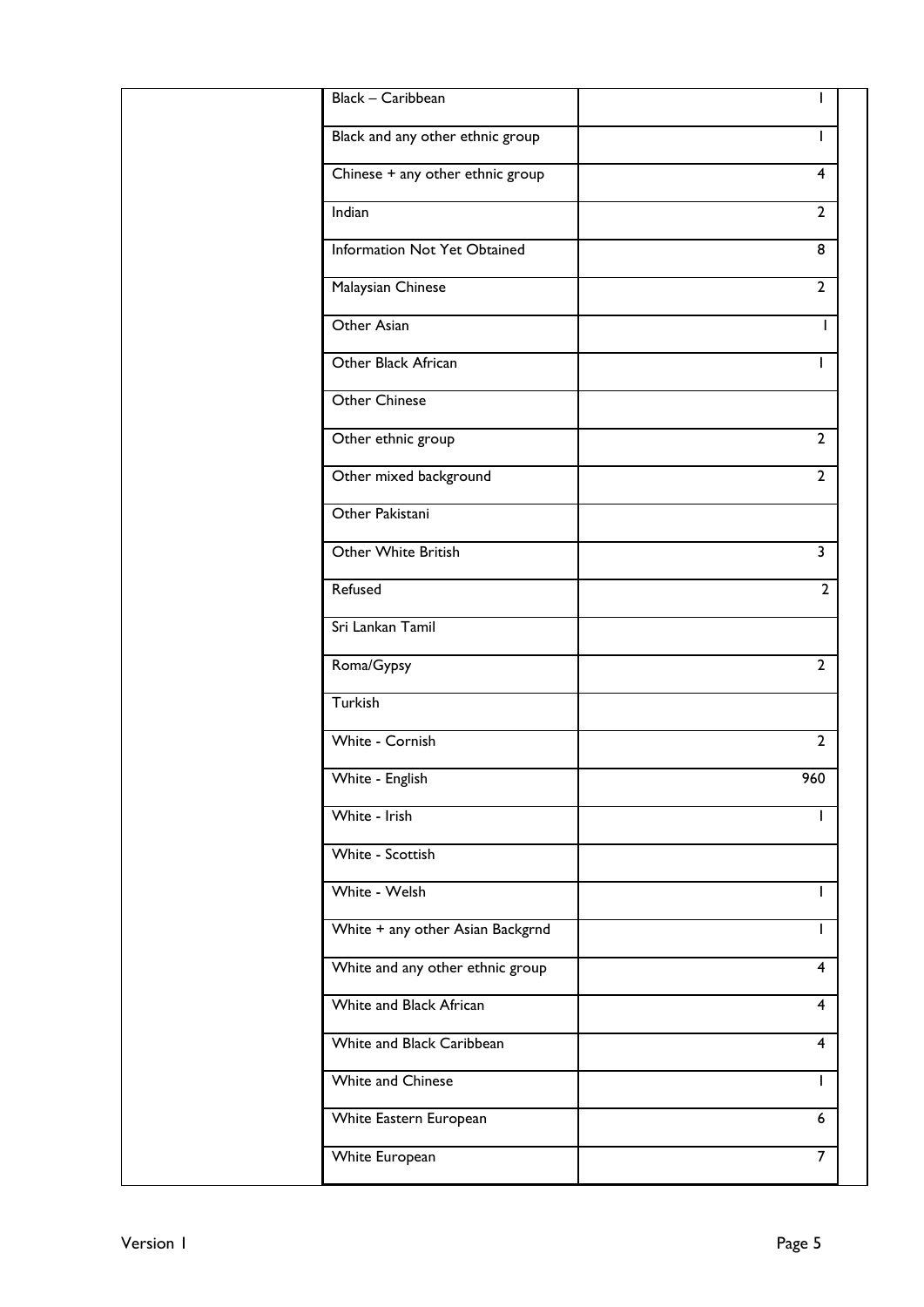| Black - Caribbean                |                         |
|----------------------------------|-------------------------|
| Black and any other ethnic group | I.                      |
| Chinese + any other ethnic group | 4                       |
| Indian                           | $\overline{2}$          |
| Information Not Yet Obtained     | 8                       |
| Malaysian Chinese                | $\overline{2}$          |
| Other Asian                      |                         |
| Other Black African              | I.                      |
| Other Chinese                    |                         |
| Other ethnic group               | $\overline{2}$          |
| Other mixed background           | $\overline{2}$          |
| Other Pakistani                  |                         |
| Other White British              | $\overline{\mathbf{3}}$ |
| Refused                          | $\overline{2}$          |
| Sri Lankan Tamil                 |                         |
| Roma/Gypsy                       | $\overline{2}$          |
| Turkish                          |                         |
| White - Cornish                  | $\overline{2}$          |
| White - English                  | 960                     |
| White - Irish                    |                         |
| White - Scottish                 |                         |
| White - Welsh                    |                         |
| White + any other Asian Backgrnd | T                       |
| White and any other ethnic group | 4                       |
| White and Black African          | 4                       |
| White and Black Caribbean        | 4                       |
| White and Chinese                | I.                      |
| White Eastern European           | $6\phantom{.}6$         |
| White European                   | $\overline{7}$          |
|                                  |                         |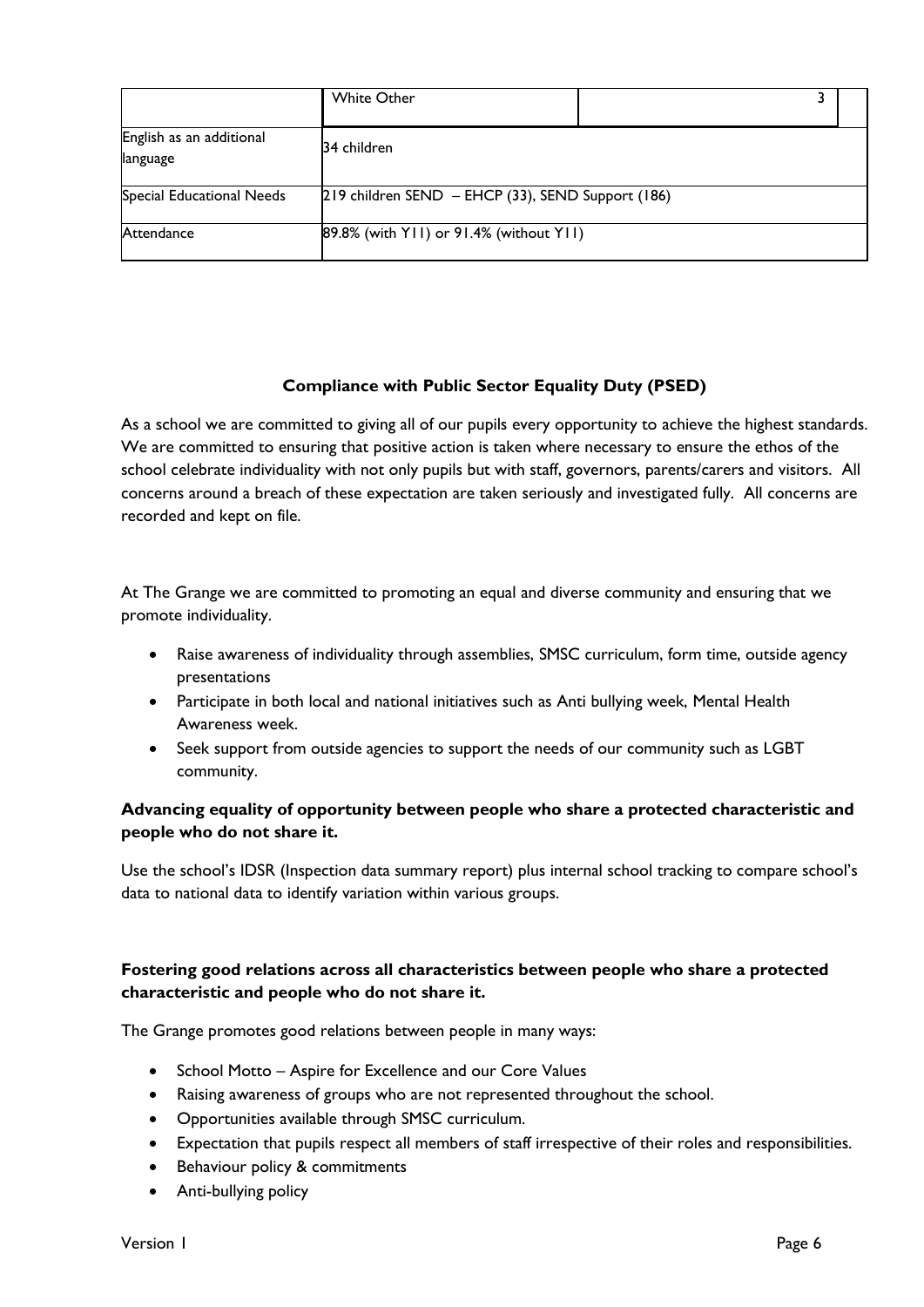|                                      | <b>White Other</b>                                |  |  |
|--------------------------------------|---------------------------------------------------|--|--|
| English as an additional<br>language | 34 children                                       |  |  |
| Special Educational Needs            | 219 children SEND – EHCP (33), SEND Support (186) |  |  |
| Attendance                           | 89.8% (with YII) or 91.4% (without YII)           |  |  |

# **Compliance with Public Sector Equality Duty (PSED)**

As a school we are committed to giving all of our pupils every opportunity to achieve the highest standards. We are committed to ensuring that positive action is taken where necessary to ensure the ethos of the school celebrate individuality with not only pupils but with staff, governors, parents/carers and visitors. All concerns around a breach of these expectation are taken seriously and investigated fully. All concerns are recorded and kept on file.

At The Grange we are committed to promoting an equal and diverse community and ensuring that we promote individuality.

- Raise awareness of individuality through assemblies, SMSC curriculum, form time, outside agency presentations
- Participate in both local and national initiatives such as Anti bullying week, Mental Health Awareness week.
- Seek support from outside agencies to support the needs of our community such as LGBT community.

# **Advancing equality of opportunity between people who share a protected characteristic and people who do not share it.**

Use the school's IDSR (Inspection data summary report) plus internal school tracking to compare school's data to national data to identify variation within various groups.

# **Fostering good relations across all characteristics between people who share a protected characteristic and people who do not share it.**

The Grange promotes good relations between people in many ways:

- School Motto Aspire for Excellence and our Core Values
- Raising awareness of groups who are not represented throughout the school.
- Opportunities available through SMSC curriculum.
- Expectation that pupils respect all members of staff irrespective of their roles and responsibilities.
- Behaviour policy & commitments
- Anti-bullying policy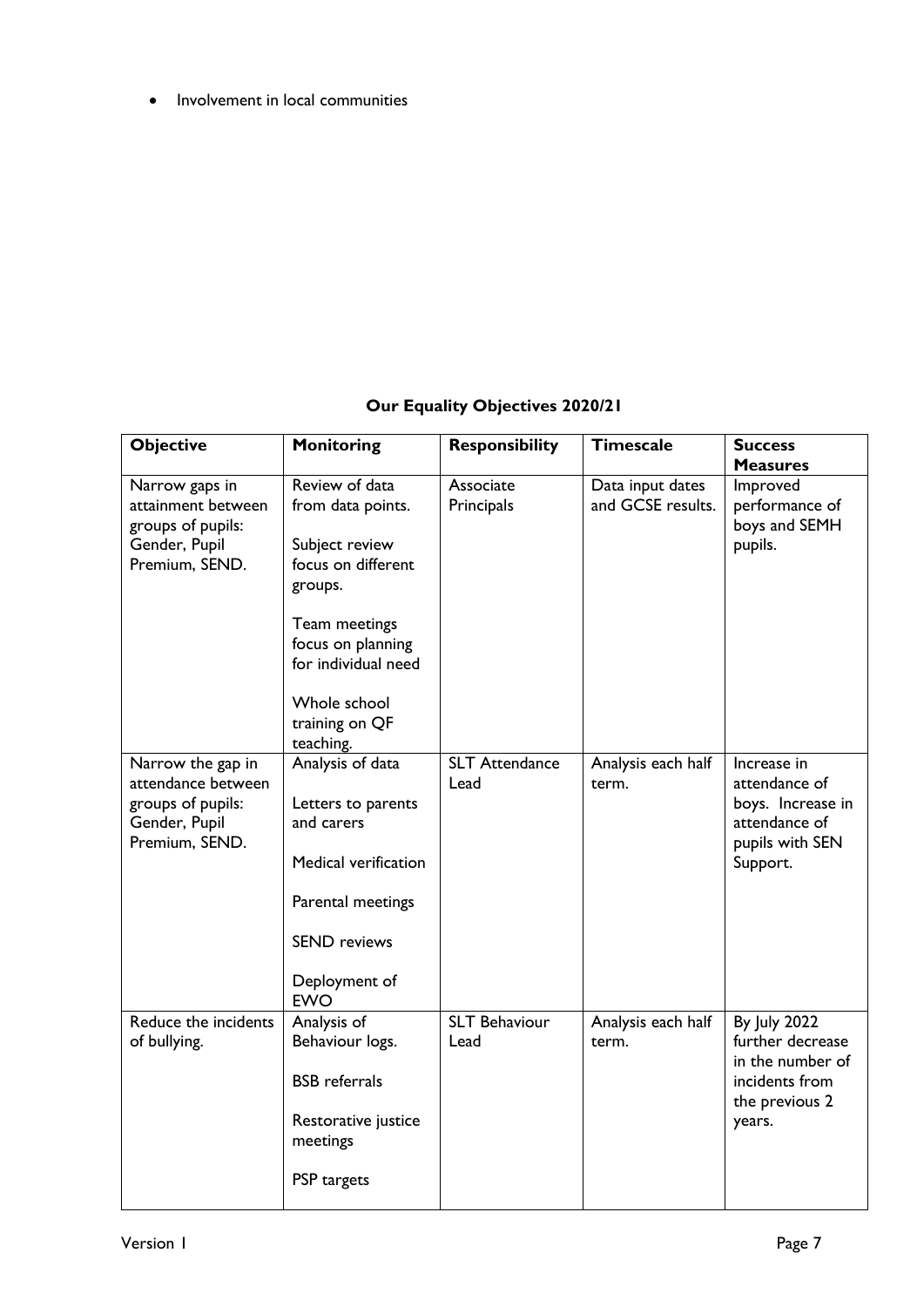• Involvement in local communities

# **Our Equality Objectives 2020/21**

| <b>Objective</b>                                                                                | <b>Monitoring</b>                                                                                                                                                                                  | <b>Responsibility</b>         | <b>Timescale</b>                      | <b>Success</b><br><b>Measures</b>                                                                         |
|-------------------------------------------------------------------------------------------------|----------------------------------------------------------------------------------------------------------------------------------------------------------------------------------------------------|-------------------------------|---------------------------------------|-----------------------------------------------------------------------------------------------------------|
| Narrow gaps in<br>attainment between<br>groups of pupils:<br>Gender, Pupil<br>Premium, SEND.    | Review of data<br>from data points.<br>Subject review<br>focus on different<br>groups.<br>Team meetings<br>focus on planning<br>for individual need<br>Whole school<br>training on QF<br>teaching. | Associate<br>Principals       | Data input dates<br>and GCSE results. | Improved<br>performance of<br>boys and SEMH<br>pupils.                                                    |
| Narrow the gap in<br>attendance between<br>groups of pupils:<br>Gender, Pupil<br>Premium, SEND. | Analysis of data<br>Letters to parents<br>and carers<br>Medical verification<br>Parental meetings<br><b>SEND</b> reviews<br>Deployment of<br><b>EWO</b>                                            | <b>SLT Attendance</b><br>Lead | Analysis each half<br>term.           | Increase in<br>attendance of<br>boys. Increase in<br>attendance of<br>pupils with SEN<br>Support.         |
| Reduce the incidents<br>of bullying.                                                            | Analysis of<br>Behaviour logs.<br><b>BSB</b> referrals<br>Restorative justice<br>meetings<br>PSP targets                                                                                           | <b>SLT Behaviour</b><br>Lead  | Analysis each half<br>term.           | <b>By July 2022</b><br>further decrease<br>in the number of<br>incidents from<br>the previous 2<br>years. |

Π